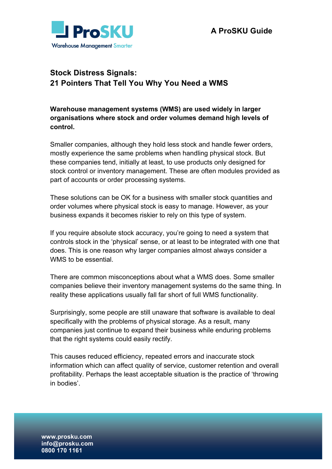

## **Stock Distress Signals: 21 Pointers That Tell You Why You Need a WMS**

**Warehouse management systems (WMS) are used widely in larger organisations where stock and order volumes demand high levels of control.** 

Smaller companies, although they hold less stock and handle fewer orders, mostly experience the same problems when handling physical stock. But these companies tend, initially at least, to use products only designed for stock control or inventory management. These are often modules provided as part of accounts or order processing systems.

These solutions can be OK for a business with smaller stock quantities and order volumes where physical stock is easy to manage. However, as your business expands it becomes riskier to rely on this type of system.

If you require absolute stock accuracy, you're going to need a system that controls stock in the 'physical' sense, or at least to be integrated with one that does. This is one reason why larger companies almost always consider a WMS to be essential.

There are common misconceptions about what a WMS does. Some smaller companies believe their inventory management systems do the same thing. In reality these applications usually fall far short of full WMS functionality.

Surprisingly, some people are still unaware that software is available to deal specifically with the problems of physical storage. As a result, many companies just continue to expand their business while enduring problems that the right systems could easily rectify.

This causes reduced efficiency, repeated errors and inaccurate stock information which can affect quality of service, customer retention and overall profitability. Perhaps the least acceptable situation is the practice of 'throwing in bodies'.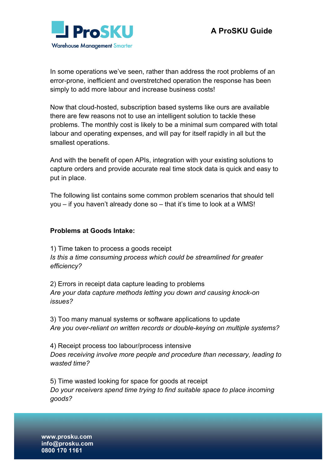

In some operations we've seen, rather than address the root problems of an error-prone, inefficient and overstretched operation the response has been simply to add more labour and increase business costs!

Now that cloud-hosted, subscription based systems like ours are available there are few reasons not to use an intelligent solution to tackle these problems. The monthly cost is likely to be a minimal sum compared with total labour and operating expenses, and will pay for itself rapidly in all but the smallest operations.

And with the benefit of open APIs, integration with your existing solutions to capture orders and provide accurate real time stock data is quick and easy to put in place.

The following list contains some common problem scenarios that should tell you – if you haven't already done so – that it's time to look at a WMS!

## **Problems at Goods Intake:**

1) Time taken to process a goods receipt *Is this a time consuming process which could be streamlined for greater efficiency?* 

2) Errors in receipt data capture leading to problems *Are your data capture methods letting you down and causing knock-on issues?* 

3) Too many manual systems or software applications to update *Are you over-reliant on written records or double-keying on multiple systems?*

4) Receipt process too labour/process intensive *Does receiving involve more people and procedure than necessary, leading to wasted time?*

5) Time wasted looking for space for goods at receipt *Do your receivers spend time trying to find suitable space to place incoming goods?*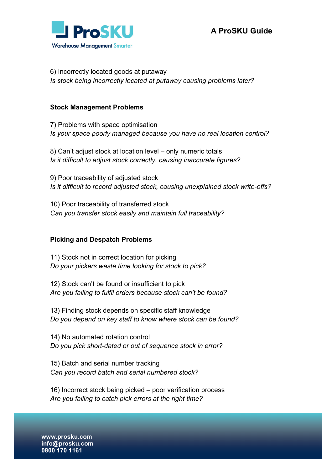

6) Incorrectly located goods at putaway *Is stock being incorrectly located at putaway causing problems later?* 

## **Stock Management Problems**

7) Problems with space optimisation *Is your space poorly managed because you have no real location control?* 

8) Can't adjust stock at location level – only numeric totals *Is it difficult to adjust stock correctly, causing inaccurate figures?* 

9) Poor traceability of adjusted stock *Is it difficult to record adjusted stock, causing unexplained stock write-offs?* 

10) Poor traceability of transferred stock *Can you transfer stock easily and maintain full traceability?* 

## **Picking and Despatch Problems**

11) Stock not in correct location for picking *Do your pickers waste time looking for stock to pick?*

12) Stock can't be found or insufficient to pick *Are you failing to fulfil orders because stock can't be found?*

13) Finding stock depends on specific staff knowledge *Do you depend on key staff to know where stock can be found?*

14) No automated rotation control *Do you pick short-dated or out of sequence stock in error?* 

15) Batch and serial number tracking *Can you record batch and serial numbered stock?* 

16) Incorrect stock being picked – poor verification process *Are you failing to catch pick errors at the right time?*